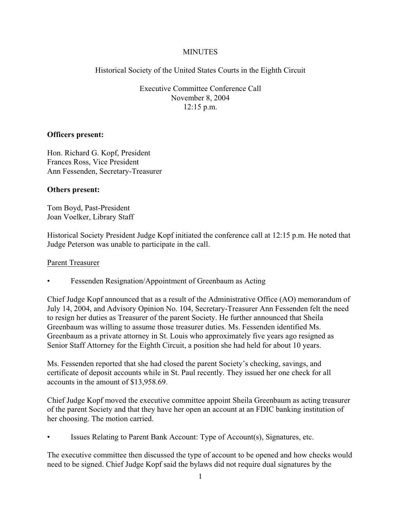# **MINUTES**

Historical Society of the United States Courts in the Eighth Circuit

Executive Committee Conference Call November 8, 2004 12:15 p.m.

## **Officers present:**

Hon. Richard G. Kopf, President Frances Ross, Vice President Ann Fessenden, Secretary-Treasurer

# **Others present:**

Tom Boyd, Past-President Joan Voelker, Library Staff

Historical Society President Judge Kopf initiated the conference call at 12:15 p.m. He noted that Judge Peterson was unable to participate in the call.

## Parent Treasurer

Fessenden Resignation/Appointment of Greenbaum as Acting

Chief Judge Kopf announced that as a result of the Administrative Office (AO) memorandum of July 14, 2004, and Advisory Opinion No. 104, Secretary-Treasurer Ann Fessenden felt the need to resign her duties as Treasurer of the parent Society. He further announced that Sheila Greenbaum was willing to assume those treasurer duties. Ms. Fessenden identified Ms. Greenbaum as a private attorney in St. Louis who approximately five years ago resigned as Senior Staff Attorney for the Eighth Circuit, a position she had held for about 10 years.

Ms. Fessenden reported that she had closed the parent Society's checking, savings, and certificate of deposit accounts while in St. Paul recently. They issued her one check for all accounts in the amount of \$13,958.69.

Chief Judge Kopf moved the executive committee appoint Sheila Greenbaum as acting treasurer of the parent Society and that they have her open an account at an FDIC banking institution of her choosing. The motion carried.

• Issues Relating to Parent Bank Account: Type of Account(s), Signatures, etc.

The executive committee then discussed the type of account to be opened and how checks would need to be signed. Chief Judge Kopf said the bylaws did not require dual signatures by the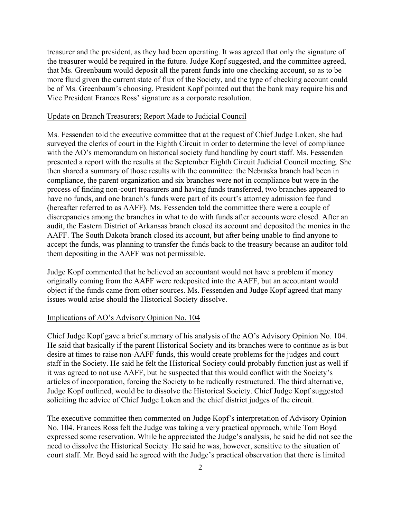treasurer and the president, as they had been operating. It was agreed that only the signature of the treasurer would be required in the future. Judge Kopf suggested, and the committee agreed, that Ms. Greenbaum would deposit all the parent funds into one checking account, so as to be more fluid given the current state of flux of the Society, and the type of checking account could be of Ms. Greenbaum's choosing. President Kopf pointed out that the bank may require his and Vice President Frances Ross' signature as a corporate resolution.

#### Update on Branch Treasurers; Report Made to Judicial Council

Ms. Fessenden told the executive committee that at the request of Chief Judge Loken, she had surveyed the clerks of court in the Eighth Circuit in order to determine the level of compliance with the AO's memorandum on historical society fund handling by court staff. Ms. Fessenden presented a report with the results at the September Eighth Circuit Judicial Council meeting. She then shared a summary of those results with the committee: the Nebraska branch had been in compliance, the parent organization and six branches were not in compliance but were in the process of finding non-court treasurers and having funds transferred, two branches appeared to have no funds, and one branch's funds were part of its court's attorney admission fee fund (hereafter referred to as AAFF). Ms. Fessenden told the committee there were a couple of discrepancies among the branches in what to do with funds after accounts were closed. After an audit, the Eastern District of Arkansas branch closed its account and deposited the monies in the AAFF. The South Dakota branch closed its account, but after being unable to find anyone to accept the funds, was planning to transfer the funds back to the treasury because an auditor told them depositing in the AAFF was not permissible.

Judge Kopf commented that he believed an accountant would not have a problem if money originally coming from the AAFF were redeposited into the AAFF, but an accountant would object if the funds came from other sources. Ms. Fessenden and Judge Kopf agreed that many issues would arise should the Historical Society dissolve.

#### Implications of AO's Advisory Opinion No. 104

Chief Judge Kopf gave a brief summary of his analysis of the AO's Advisory Opinion No. 104. He said that basically if the parent Historical Society and its branches were to continue as is but desire at times to raise non-AAFF funds, this would create problems for the judges and court staff in the Society. He said he felt the Historical Society could probably function just as well if it was agreed to not use AAFF, but he suspected that this would conflict with the Society's articles of incorporation, forcing the Society to be radically restructured. The third alternative, Judge Kopf outlined, would be to dissolve the Historical Society. Chief Judge Kopf suggested soliciting the advice of Chief Judge Loken and the chief district judges of the circuit.

The executive committee then commented on Judge Kopf's interpretation of Advisory Opinion No. 104. Frances Ross felt the Judge was taking a very practical approach, while Tom Boyd expressed some reservation. While he appreciated the Judge's analysis, he said he did not see the need to dissolve the Historical Society. He said he was, however, sensitive to the situation of court staff. Mr. Boyd said he agreed with the Judge's practical observation that there is limited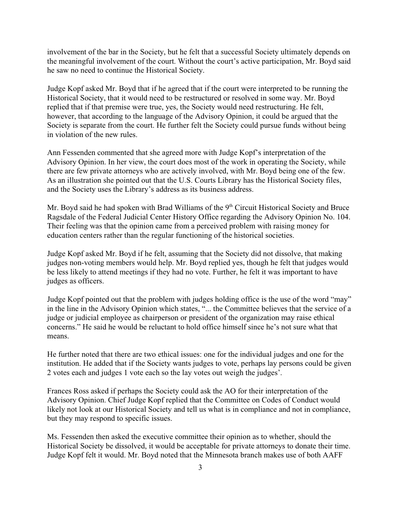involvement of the bar in the Society, but he felt that a successful Society ultimately depends on the meaningful involvement of the court. Without the court's active participation, Mr. Boyd said he saw no need to continue the Historical Society.

Judge Kopf asked Mr. Boyd that if he agreed that if the court were interpreted to be running the Historical Society, that it would need to be restructured or resolved in some way. Mr. Boyd replied that if that premise were true, yes, the Society would need restructuring. He felt, however, that according to the language of the Advisory Opinion, it could be argued that the Society is separate from the court. He further felt the Society could pursue funds without being in violation of the new rules.

Ann Fessenden commented that she agreed more with Judge Kopf's interpretation of the Advisory Opinion. In her view, the court does most of the work in operating the Society, while there are few private attorneys who are actively involved, with Mr. Boyd being one of the few. As an illustration she pointed out that the U.S. Courts Library has the Historical Society files, and the Society uses the Library's address as its business address.

Mr. Boyd said he had spoken with Brad Williams of the 9<sup>th</sup> Circuit Historical Society and Bruce Ragsdale of the Federal Judicial Center History Office regarding the Advisory Opinion No. 104. Their feeling was that the opinion came from a perceived problem with raising money for education centers rather than the regular functioning of the historical societies.

Judge Kopf asked Mr. Boyd if he felt, assuming that the Society did not dissolve, that making judges non-voting members would help. Mr. Boyd replied yes, though he felt that judges would be less likely to attend meetings if they had no vote. Further, he felt it was important to have judges as officers.

Judge Kopf pointed out that the problem with judges holding office is the use of the word "may" in the line in the Advisory Opinion which states, "... the Committee believes that the service of a judge or judicial employee as chairperson or president of the organization may raise ethical concerns." He said he would be reluctant to hold office himself since he's not sure what that means.

He further noted that there are two ethical issues: one for the individual judges and one for the institution. He added that if the Society wants judges to vote, perhaps lay persons could be given 2 votes each and judges 1 vote each so the lay votes out weigh the judges'.

Frances Ross asked if perhaps the Society could ask the AO for their interpretation of the Advisory Opinion. Chief Judge Kopf replied that the Committee on Codes of Conduct would likely not look at our Historical Society and tell us what is in compliance and not in compliance, but they may respond to specific issues.

Ms. Fessenden then asked the executive committee their opinion as to whether, should the Historical Society be dissolved, it would be acceptable for private attorneys to donate their time. Judge Kopf felt it would. Mr. Boyd noted that the Minnesota branch makes use of both AAFF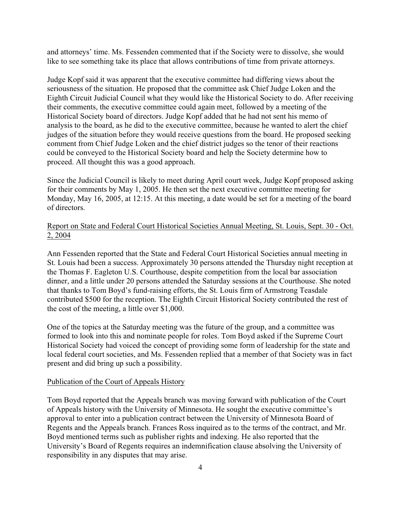and attorneys' time. Ms. Fessenden commented that if the Society were to dissolve, she would like to see something take its place that allows contributions of time from private attorneys.

Judge Kopf said it was apparent that the executive committee had differing views about the seriousness of the situation. He proposed that the committee ask Chief Judge Loken and the Eighth Circuit Judicial Council what they would like the Historical Society to do. After receiving their comments, the executive committee could again meet, followed by a meeting of the Historical Society board of directors. Judge Kopf added that he had not sent his memo of analysis to the board, as he did to the executive committee, because he wanted to alert the chief judges of the situation before they would receive questions from the board. He proposed seeking comment from Chief Judge Loken and the chief district judges so the tenor of their reactions could be conveyed to the Historical Society board and help the Society determine how to proceed. All thought this was a good approach.

Since the Judicial Council is likely to meet during April court week, Judge Kopf proposed asking for their comments by May 1, 2005. He then set the next executive committee meeting for Monday, May 16, 2005, at 12:15. At this meeting, a date would be set for a meeting of the board of directors.

## Report on State and Federal Court Historical Societies Annual Meeting, St. Louis, Sept. 30 - Oct. 2, 2004

Ann Fessenden reported that the State and Federal Court Historical Societies annual meeting in St. Louis had been a success. Approximately 30 persons attended the Thursday night reception at the Thomas F. Eagleton U.S. Courthouse, despite competition from the local bar association dinner, and a little under 20 persons attended the Saturday sessions at the Courthouse. She noted that thanks to Tom Boyd's fund-raising efforts, the St. Louis firm of Armstrong Teasdale contributed \$500 for the reception. The Eighth Circuit Historical Society contributed the rest of the cost of the meeting, a little over \$1,000.

One of the topics at the Saturday meeting was the future of the group, and a committee was formed to look into this and nominate people for roles. Tom Boyd asked if the Supreme Court Historical Society had voiced the concept of providing some form of leadership for the state and local federal court societies, and Ms. Fessenden replied that a member of that Society was in fact present and did bring up such a possibility.

### Publication of the Court of Appeals History

Tom Boyd reported that the Appeals branch was moving forward with publication of the Court of Appeals history with the University of Minnesota. He sought the executive committee's approval to enter into a publication contract between the University of Minnesota Board of Regents and the Appeals branch. Frances Ross inquired as to the terms of the contract, and Mr. Boyd mentioned terms such as publisher rights and indexing. He also reported that the University's Board of Regents requires an indemnification clause absolving the University of responsibility in any disputes that may arise.